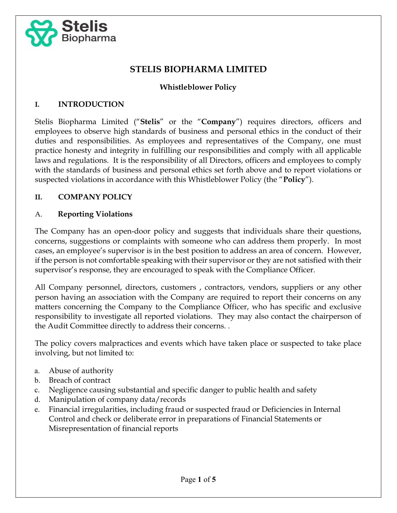

# STELIS BIOPHARMA LIMITED

### Whistleblower Policy

#### I. INTRODUCTION

Stelis Biopharma Limited ("Stelis" or the "Company") requires directors, officers and employees to observe high standards of business and personal ethics in the conduct of their duties and responsibilities. As employees and representatives of the Company, one must practice honesty and integrity in fulfilling our responsibilities and comply with all applicable laws and regulations. It is the responsibility of all Directors, officers and employees to comply with the standards of business and personal ethics set forth above and to report violations or suspected violations in accordance with this Whistleblower Policy (the "**Policy**").

### II. COMPANY POLICY

#### A. Reporting Violations

The Company has an open-door policy and suggests that individuals share their questions, concerns, suggestions or complaints with someone who can address them properly. In most cases, an employee's supervisor is in the best position to address an area of concern. However, if the person is not comfortable speaking with their supervisor or they are not satisfied with their supervisor's response, they are encouraged to speak with the Compliance Officer.

All Company personnel, directors, customers , contractors, vendors, suppliers or any other person having an association with the Company are required to report their concerns on any matters concerning the Company to the Compliance Officer, who has specific and exclusive responsibility to investigate all reported violations. They may also contact the chairperson of the Audit Committee directly to address their concerns. .

The policy covers malpractices and events which have taken place or suspected to take place involving, but not limited to:

- a. Abuse of authority
- b. Breach of contract
- c. Negligence causing substantial and specific danger to public health and safety
- d. Manipulation of company data/records
- e. Financial irregularities, including fraud or suspected fraud or Deficiencies in Internal Control and check or deliberate error in preparations of Financial Statements or Misrepresentation of financial reports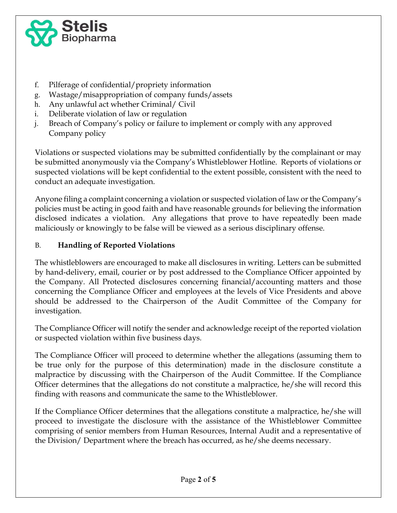

- f. Pilferage of confidential/propriety information
- g. Wastage/misappropriation of company funds/assets
- h. Any unlawful act whether Criminal/ Civil
- i. Deliberate violation of law or regulation
- j. Breach of Company's policy or failure to implement or comply with any approved Company policy

Violations or suspected violations may be submitted confidentially by the complainant or may be submitted anonymously via the Company's Whistleblower Hotline. Reports of violations or suspected violations will be kept confidential to the extent possible, consistent with the need to conduct an adequate investigation.

Anyone filing a complaint concerning a violation or suspected violation of law or the Company's policies must be acting in good faith and have reasonable grounds for believing the information disclosed indicates a violation. Any allegations that prove to have repeatedly been made maliciously or knowingly to be false will be viewed as a serious disciplinary offense.

### B. Handling of Reported Violations

The whistleblowers are encouraged to make all disclosures in writing. Letters can be submitted by hand-delivery, email, courier or by post addressed to the Compliance Officer appointed by the Company. All Protected disclosures concerning financial/accounting matters and those concerning the Compliance Officer and employees at the levels of Vice Presidents and above should be addressed to the Chairperson of the Audit Committee of the Company for investigation.

The Compliance Officer will notify the sender and acknowledge receipt of the reported violation or suspected violation within five business days.

The Compliance Officer will proceed to determine whether the allegations (assuming them to be true only for the purpose of this determination) made in the disclosure constitute a malpractice by discussing with the Chairperson of the Audit Committee. If the Compliance Officer determines that the allegations do not constitute a malpractice, he/she will record this finding with reasons and communicate the same to the Whistleblower.

If the Compliance Officer determines that the allegations constitute a malpractice, he/she will proceed to investigate the disclosure with the assistance of the Whistleblower Committee comprising of senior members from Human Resources, Internal Audit and a representative of the Division/ Department where the breach has occurred, as he/she deems necessary.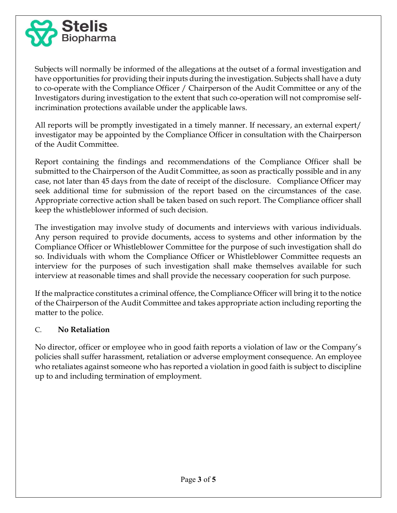

Subjects will normally be informed of the allegations at the outset of a formal investigation and have opportunities for providing their inputs during the investigation. Subjects shall have a duty to co-operate with the Compliance Officer / Chairperson of the Audit Committee or any of the Investigators during investigation to the extent that such co-operation will not compromise selfincrimination protections available under the applicable laws.

All reports will be promptly investigated in a timely manner. If necessary, an external expert/ investigator may be appointed by the Compliance Officer in consultation with the Chairperson of the Audit Committee.

Report containing the findings and recommendations of the Compliance Officer shall be submitted to the Chairperson of the Audit Committee, as soon as practically possible and in any case, not later than 45 days from the date of receipt of the disclosure. Compliance Officer may seek additional time for submission of the report based on the circumstances of the case. Appropriate corrective action shall be taken based on such report. The Compliance officer shall keep the whistleblower informed of such decision.

The investigation may involve study of documents and interviews with various individuals. Any person required to provide documents, access to systems and other information by the Compliance Officer or Whistleblower Committee for the purpose of such investigation shall do so. Individuals with whom the Compliance Officer or Whistleblower Committee requests an interview for the purposes of such investigation shall make themselves available for such interview at reasonable times and shall provide the necessary cooperation for such purpose.

If the malpractice constitutes a criminal offence, the Compliance Officer will bring it to the notice of the Chairperson of the Audit Committee and takes appropriate action including reporting the matter to the police.

### C. No Retaliation

No director, officer or employee who in good faith reports a violation of law or the Company's policies shall suffer harassment, retaliation or adverse employment consequence. An employee who retaliates against someone who has reported a violation in good faith is subject to discipline up to and including termination of employment.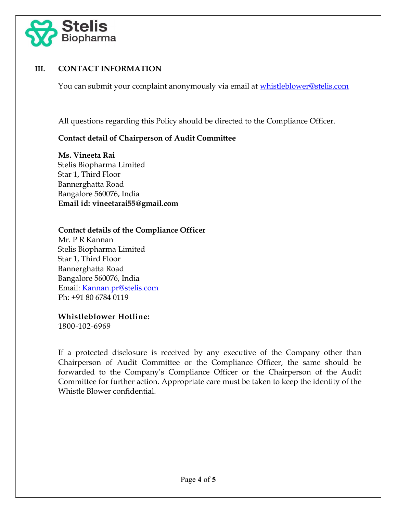

### III. CONTACT INFORMATION

You can submit your complaint anonymously via email at whistleblower@stelis.com

All questions regarding this Policy should be directed to the Compliance Officer.

### Contact detail of Chairperson of Audit Committee

Ms. Vineeta Rai Stelis Biopharma Limited Star 1, Third Floor Bannerghatta Road Bangalore 560076, India Email id: vineetarai55@gmail.com

### Contact details of the Compliance Officer

 Mr. P R Kannan Stelis Biopharma Limited Star 1, Third Floor Bannerghatta Road Bangalore 560076, India Email: Kannan.pr@stelis.com Ph: +91 80 6784 0119

#### Whistleblower Hotline:

1800-102-6969

If a protected disclosure is received by any executive of the Company other than Chairperson of Audit Committee or the Compliance Officer, the same should be forwarded to the Company's Compliance Officer or the Chairperson of the Audit Committee for further action. Appropriate care must be taken to keep the identity of the Whistle Blower confidential.